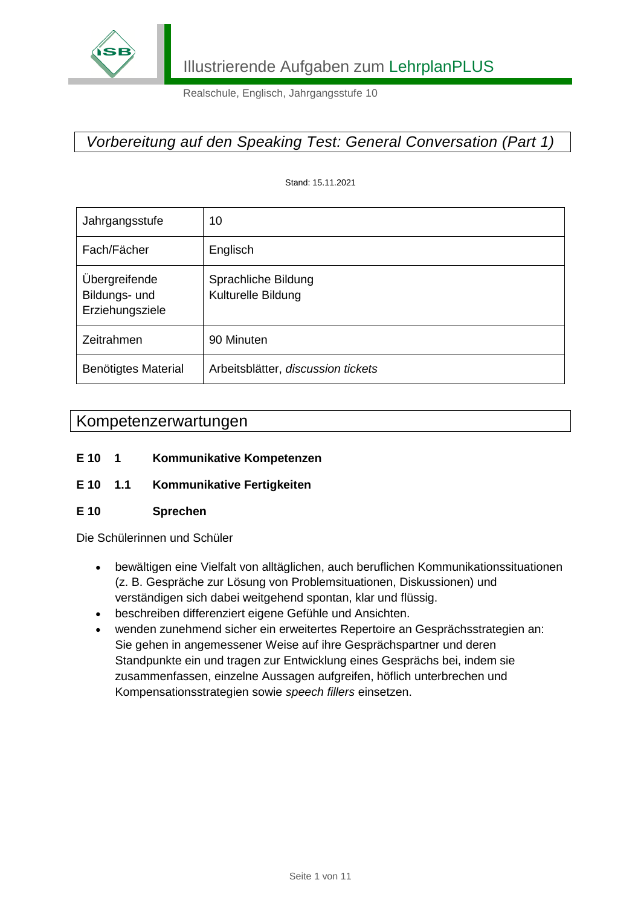

## *Vorbereitung auf den Speaking Test: General Conversation (Part 1)*

Stand: 15.11.2021

| Jahrgangsstufe                                    | 10                                        |
|---------------------------------------------------|-------------------------------------------|
| Fach/Fächer                                       | Englisch                                  |
| Übergreifende<br>Bildungs- und<br>Erziehungsziele | Sprachliche Bildung<br>Kulturelle Bildung |
| Zeitrahmen                                        | 90 Minuten                                |
| Benötigtes Material                               | Arbeitsblätter, discussion tickets        |

### Kompetenzerwartungen

- **E 10 1 Kommunikative Kompetenzen**
- **E 10 1.1 Kommunikative Fertigkeiten**

#### **E 10 Sprechen**

Die Schülerinnen und Schüler

- bewältigen eine Vielfalt von alltäglichen, auch beruflichen Kommunikationssituationen (z. B. Gespräche zur Lösung von Problemsituationen, Diskussionen) und verständigen sich dabei weitgehend spontan, klar und flüssig.
- beschreiben differenziert eigene Gefühle und Ansichten.
- wenden zunehmend sicher ein erweitertes Repertoire an Gesprächsstrategien an: Sie gehen in angemessener Weise auf ihre Gesprächspartner und deren Standpunkte ein und tragen zur Entwicklung eines Gesprächs bei, indem sie zusammenfassen, einzelne Aussagen aufgreifen, höflich unterbrechen und Kompensationsstrategien sowie *speech fillers* einsetzen.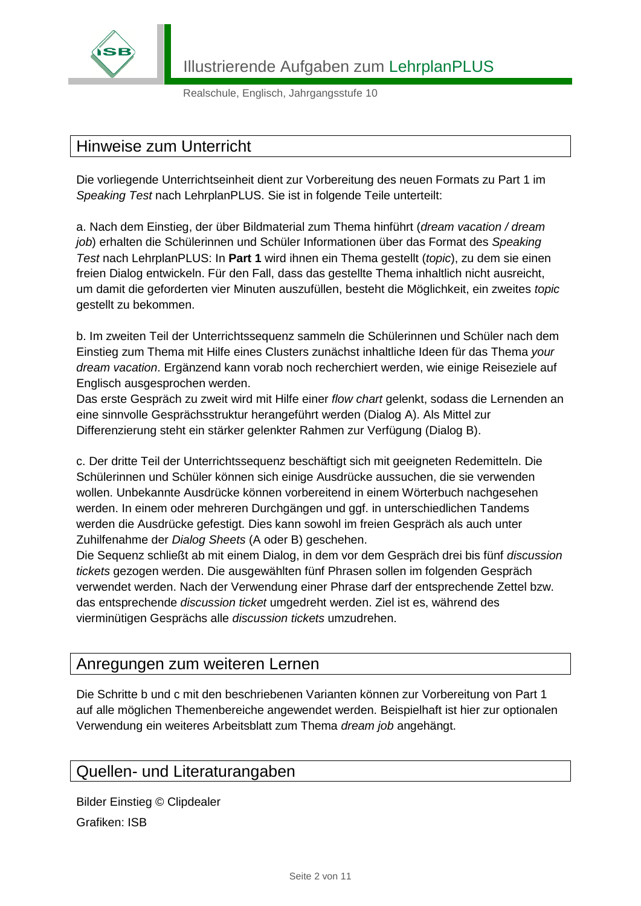

## Hinweise zum Unterricht

Die vorliegende Unterrichtseinheit dient zur Vorbereitung des neuen Formats zu Part 1 im *Speaking Test* nach LehrplanPLUS. Sie ist in folgende Teile unterteilt:

a. Nach dem Einstieg, der über Bildmaterial zum Thema hinführt (*dream vacation / dream job*) erhalten die Schülerinnen und Schüler Informationen über das Format des *Speaking Test* nach LehrplanPLUS: In **Part 1** wird ihnen ein Thema gestellt (*topic*), zu dem sie einen freien Dialog entwickeln. Für den Fall, dass das gestellte Thema inhaltlich nicht ausreicht, um damit die geforderten vier Minuten auszufüllen, besteht die Möglichkeit, ein zweites *topic* gestellt zu bekommen.

b. Im zweiten Teil der Unterrichtssequenz sammeln die Schülerinnen und Schüler nach dem Einstieg zum Thema mit Hilfe eines Clusters zunächst inhaltliche Ideen für das Thema *your dream vacation*. Ergänzend kann vorab noch recherchiert werden, wie einige Reiseziele auf Englisch ausgesprochen werden.

Das erste Gespräch zu zweit wird mit Hilfe einer *flow chart* gelenkt, sodass die Lernenden an eine sinnvolle Gesprächsstruktur herangeführt werden (Dialog A). Als Mittel zur Differenzierung steht ein stärker gelenkter Rahmen zur Verfügung (Dialog B).

c. Der dritte Teil der Unterrichtssequenz beschäftigt sich mit geeigneten Redemitteln. Die Schülerinnen und Schüler können sich einige Ausdrücke aussuchen, die sie verwenden wollen. Unbekannte Ausdrücke können vorbereitend in einem Wörterbuch nachgesehen werden. In einem oder mehreren Durchgängen und ggf. in unterschiedlichen Tandems werden die Ausdrücke gefestigt. Dies kann sowohl im freien Gespräch als auch unter Zuhilfenahme der *Dialog Sheets* (A oder B) geschehen.

Die Sequenz schließt ab mit einem Dialog, in dem vor dem Gespräch drei bis fünf *discussion tickets* gezogen werden. Die ausgewählten fünf Phrasen sollen im folgenden Gespräch verwendet werden. Nach der Verwendung einer Phrase darf der entsprechende Zettel bzw. das entsprechende *discussion ticket* umgedreht werden. Ziel ist es, während des vierminütigen Gesprächs alle *discussion tickets* umzudrehen.

### Anregungen zum weiteren Lernen

Die Schritte b und c mit den beschriebenen Varianten können zur Vorbereitung von Part 1 auf alle möglichen Themenbereiche angewendet werden. Beispielhaft ist hier zur optionalen Verwendung ein weiteres Arbeitsblatt zum Thema *dream job* angehängt.

### Quellen- und Literaturangaben

Bilder Einstieg © Clipdealer Grafiken: ISB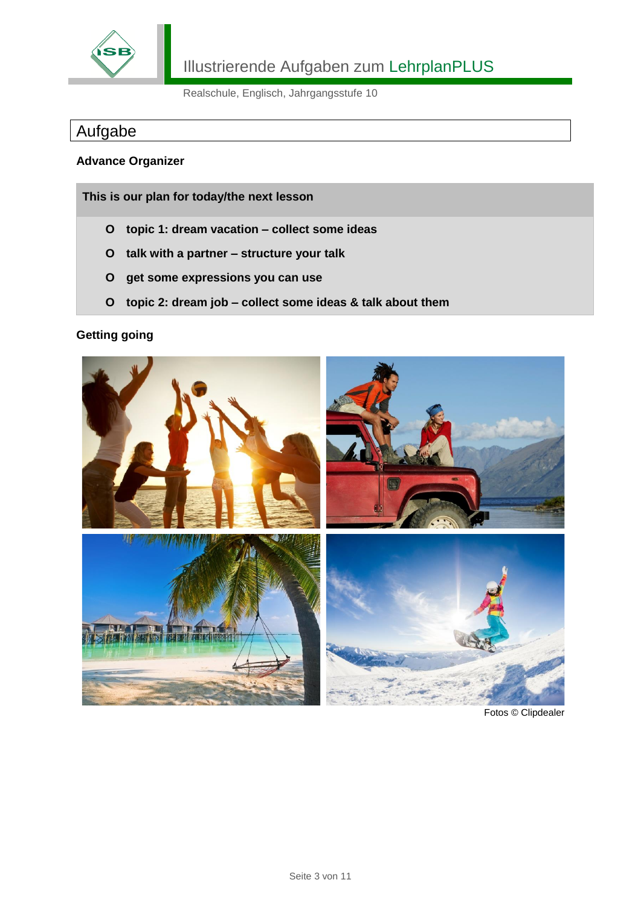

# Aufgabe

#### **Advance Organizer**

**This is our plan for today/the next lesson**

- **O topic 1: dream vacation – collect some ideas**
- **O talk with a partner – structure your talk**
- **O get some expressions you can use**
- **O topic 2: dream job – collect some ideas & talk about them**

#### **Getting going**



Fotos © Clipdealer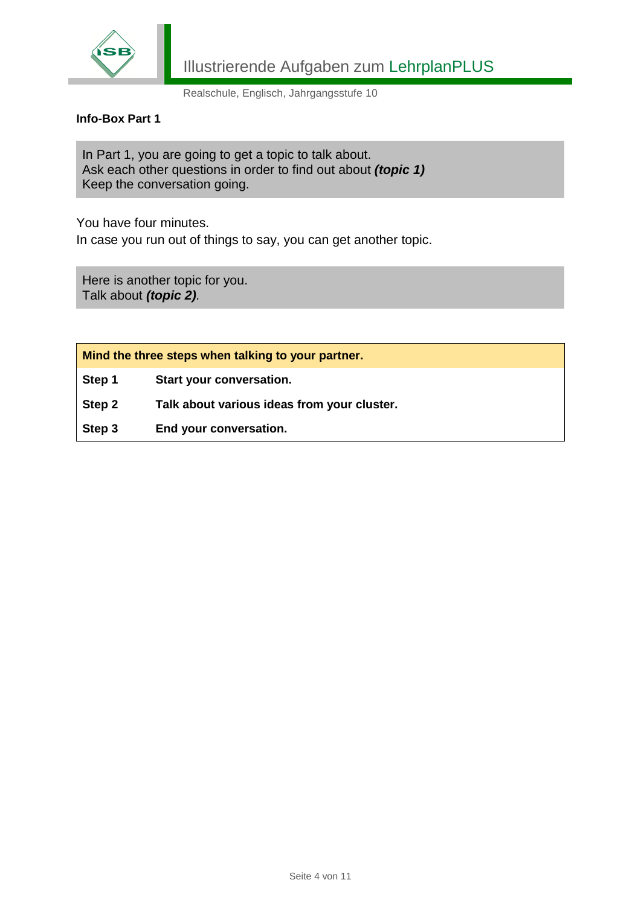

#### **Info-Box Part 1**

In Part 1, you are going to get a topic to talk about. Ask each other questions in order to find out about *(topic 1)* Keep the conversation going.

You have four minutes.

In case you run out of things to say, you can get another topic.

Here is another topic for you. Talk about *(topic 2).*

**Mind the three steps when talking to your partner.**

**Step 1 Start your conversation.**

**Step 2 Talk about various ideas from your cluster.**

**Step 3 End your conversation.**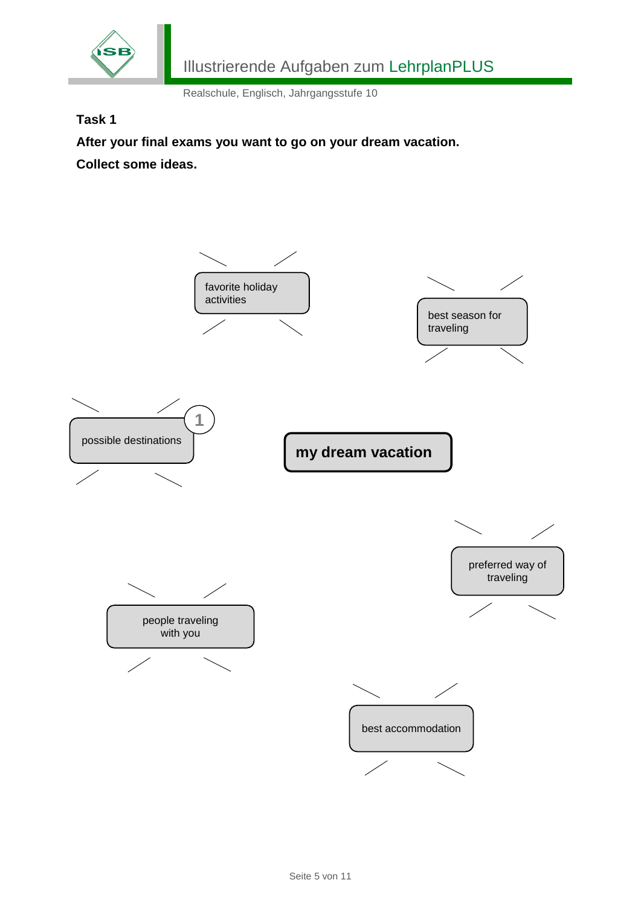

#### **Task 1**

**After your final exams you want to go on your dream vacation. Collect some ideas.**

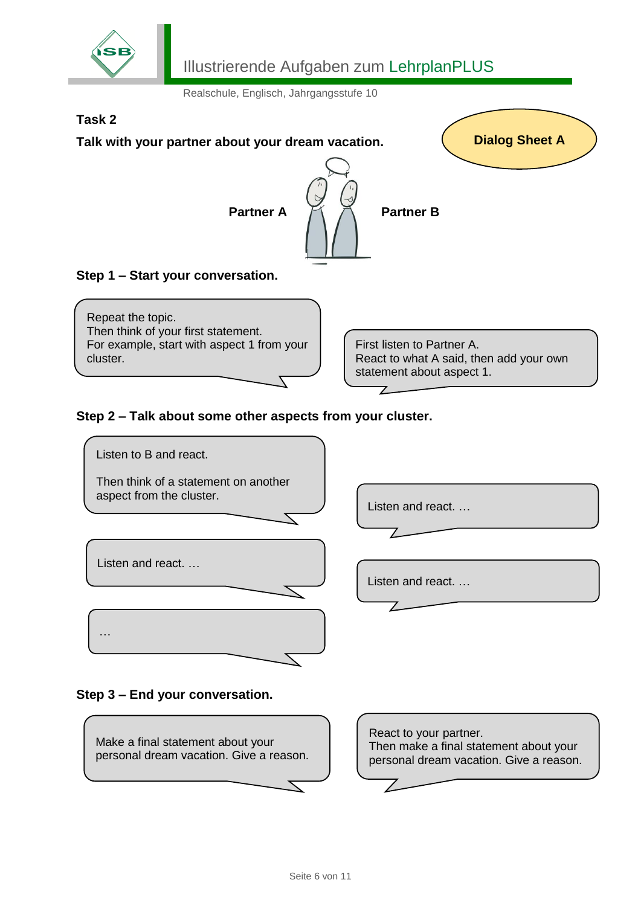

# Illustrierende Aufgaben zum LehrplanPLUS

Realschule, Englisch, Jahrgangsstufe 10



#### **Step 3 – End your conversation.**

…



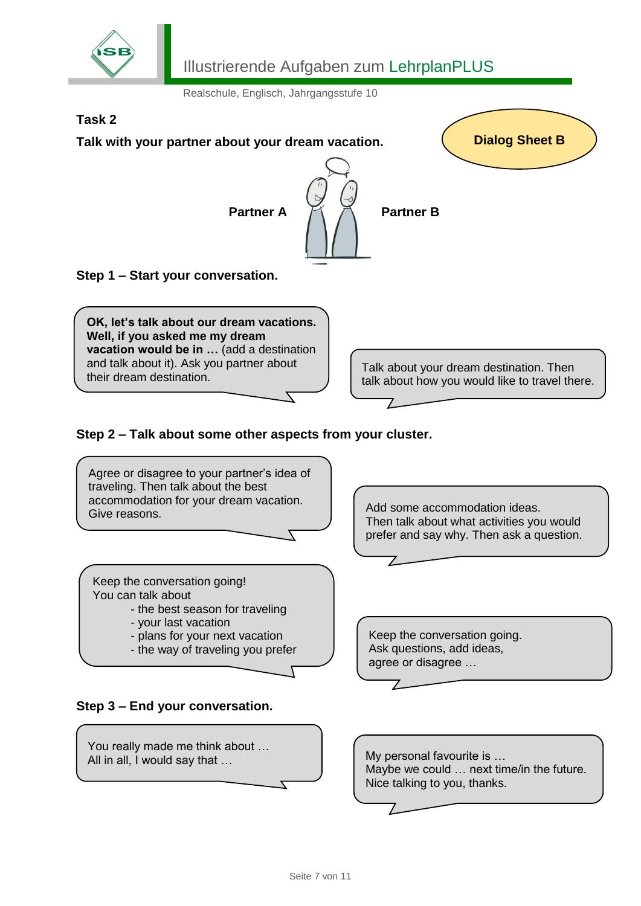

# Illustrierende Aufgaben zum LehrplanPLUS

Realschule, Englisch, Jahrgangsstufe 10

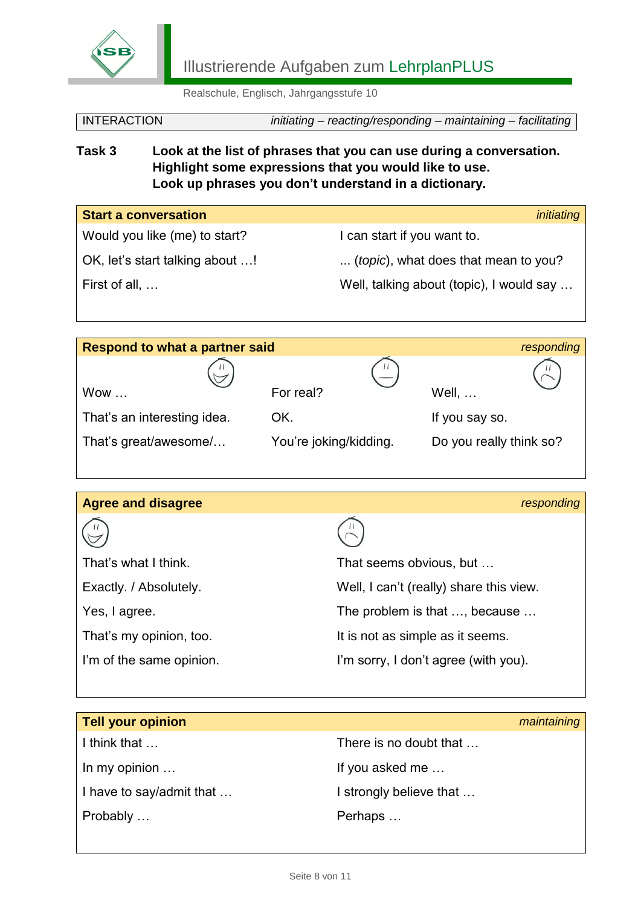

Illustrierende Aufgaben zum LehrplanPLUS

Realschule, Englisch, Jahrgangsstufe 10

| <b>INTERACTION</b> | initiating - reacting/responding - maintaining - facilitating |  |
|--------------------|---------------------------------------------------------------|--|
|                    |                                                               |  |

**Task 3 Look at the list of phrases that you can use during a conversation. Highlight some expressions that you would like to use. Look up phrases you don't understand in a dictionary.**

| <b>Start a conversation</b>     | initiating                               |
|---------------------------------|------------------------------------------|
| Would you like (me) to start?   | I can start if you want to.              |
| OK, let's start talking about ! | (topic), what does that mean to you?     |
| First of all,                   | Well, talking about (topic), I would say |

| <b>Respond to what a partner said</b> |                        | responding              |
|---------------------------------------|------------------------|-------------------------|
|                                       |                        |                         |
| Wow                                   | For real?              | <b>Well, </b>           |
| That's an interesting idea.           | OK.                    | If you say so.          |
| That's great/awesome/                 | You're joking/kidding. | Do you really think so? |

| <b>Agree and disagree</b> | responding                              |
|---------------------------|-----------------------------------------|
|                           |                                         |
| That's what I think.      | That seems obvious, but                 |
| Exactly. / Absolutely.    | Well, I can't (really) share this view. |
| Yes, I agree.             | The problem is that , because           |
| That's my opinion, too.   | It is not as simple as it seems.        |
| I'm of the same opinion.  | I'm sorry, I don't agree (with you).    |

| <b>Tell your opinion</b> |                         | maintaining |
|--------------------------|-------------------------|-------------|
| I think that             | There is no doubt that  |             |
| In my opinion $\dots$    | If you asked me         |             |
| I have to say/admit that | I strongly believe that |             |
| Probably                 | Perhaps                 |             |
|                          |                         |             |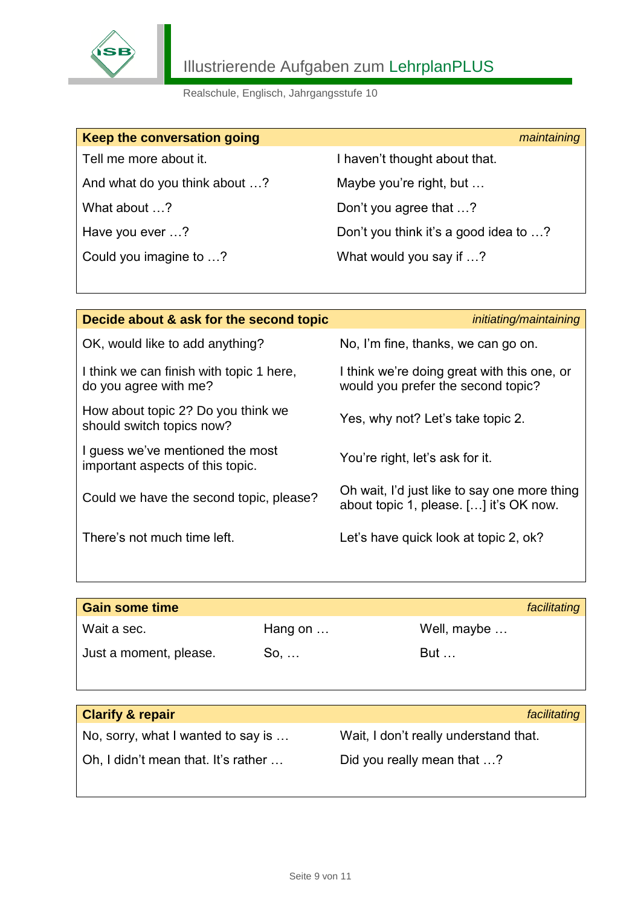

| Keep the conversation going   | maintaining                           |
|-------------------------------|---------------------------------------|
| Tell me more about it.        | I haven't thought about that.         |
| And what do you think about ? | Maybe you're right, but               |
| What about ?                  | Don't you agree that ?                |
| Have you ever ?               | Don't you think it's a good idea to ? |
| Could you imagine to ?        | What would you say if ?               |

| Decide about & ask for the second topic                              | initiating/maintaining                                                                 |
|----------------------------------------------------------------------|----------------------------------------------------------------------------------------|
| OK, would like to add anything?                                      | No, I'm fine, thanks, we can go on.                                                    |
| I think we can finish with topic 1 here,<br>do you agree with me?    | I think we're doing great with this one, or<br>would you prefer the second topic?      |
| How about topic 2? Do you think we<br>should switch topics now?      | Yes, why not? Let's take topic 2.                                                      |
| I guess we've mentioned the most<br>important aspects of this topic. | You're right, let's ask for it.                                                        |
| Could we have the second topic, please?                              | Oh wait, I'd just like to say one more thing<br>about topic 1, please. [] it's OK now. |
| There's not much time left.                                          | Let's have quick look at topic 2, ok?                                                  |
|                                                                      |                                                                                        |

| <b>Gain some time</b>       |                 |             | facilitating |
|-----------------------------|-----------------|-------------|--------------|
| Wait a sec.                 | Hang on $\dots$ | Well, maybe |              |
| Just a moment, please.      | $So, \ldots$    | But         |              |
|                             |                 |             |              |
| <b>Clarify &amp; repair</b> |                 |             | facilitating |

| <b>Clarity &amp; repair</b>         | <i><b>Tacilitating</b></i>            |
|-------------------------------------|---------------------------------------|
| No, sorry, what I wanted to say is  | Wait, I don't really understand that. |
| Oh, I didn't mean that. It's rather | Did you really mean that ?            |
|                                     |                                       |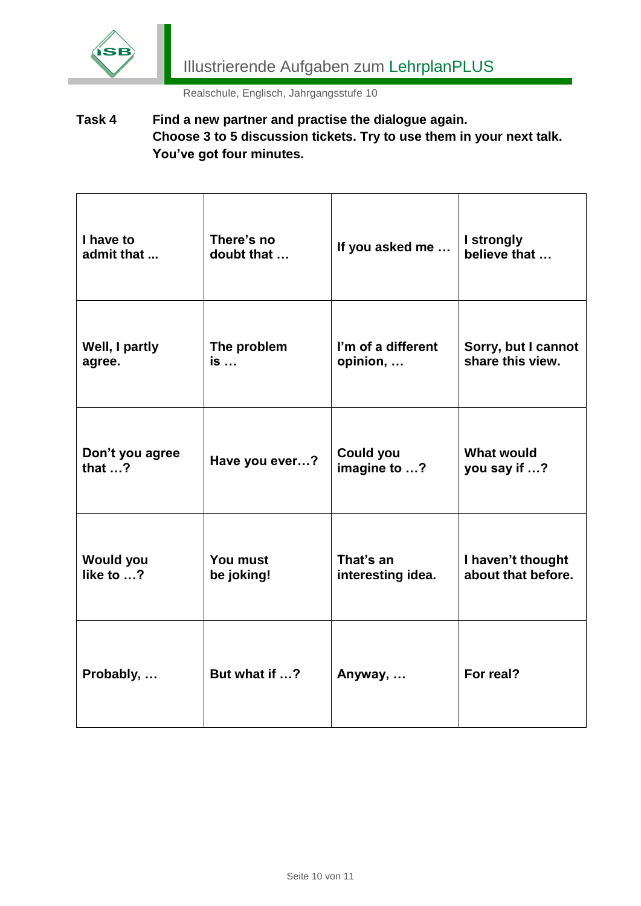

**Task 4 Find a new partner and practise the dialogue again. Choose 3 to 5 discussion tickets. Try to use them in your next talk. You've got four minutes.**

| I have to        | There's no     | If you asked me    | I strongly          |
|------------------|----------------|--------------------|---------------------|
| admit that       | doubt that     |                    | believe that        |
| Well, I partly   | The problem    | I'm of a different | Sorry, but I cannot |
| agree.           | is             | opinion,           | share this view.    |
| Don't you agree  | Have you ever? | <b>Could you</b>   | <b>What would</b>   |
| that $$ ?        |                | imagine to ?       | you say if ?        |
| <b>Would you</b> | You must       | That's an          | I haven't thought   |
| like to $$ ?     | be joking!     | interesting idea.  | about that before.  |
| Probably,        | But what if ?  | Anyway,            | For real?           |